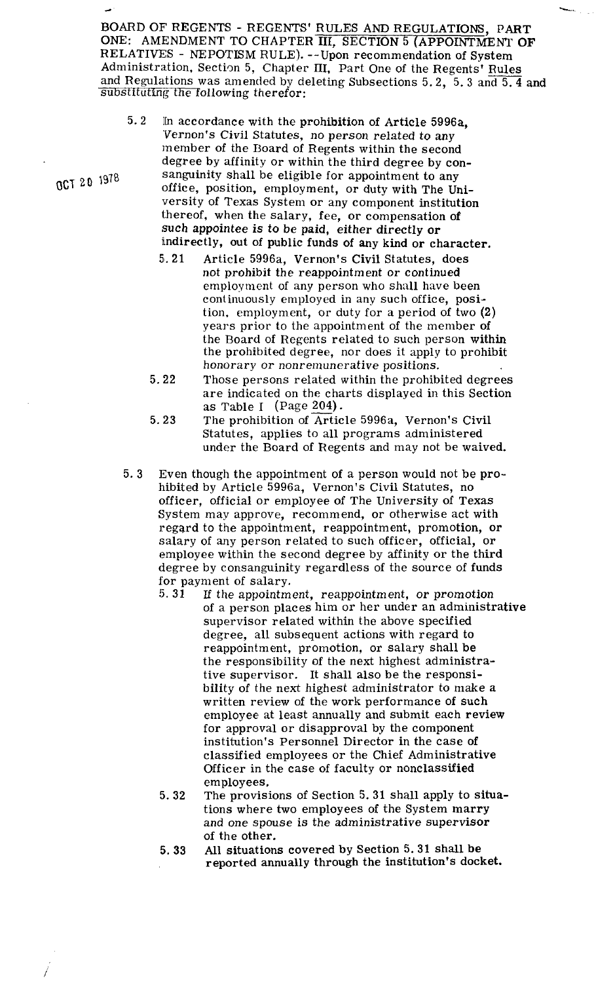BOARD OF' REGENTS - REGENTS' RULES AND REGULATIONS, PART ONE: AMENDMENT TO CHAPTER III, SECTION 5 (APPOINTMENT OF RELATIVES - NEPOTISM RULE). -- Upon recommendation of System BOARD OF REGENTS - REGENTS' RULES AND REGULATIONS, PART<br>ONE: AMENDMENT TO CHAPTER III, SECTION 5 (APPOINTMENT OF<br>RELATIVES - NEPOTISM RULE). --Upon recommendation of System<br>Administration, Section 5, Chapter III, Part One Administration, Section 5, Chapter III, Part One of the Regents' Rules and Regulations was amended by deleting Subsections 5.2, 5.3 and 5.4 and substituting the following therefor:

- 5.2 Ih accordance with the prohibition of Article 5996a, 'Vernon's Civil Statutes, no person related to any member of the Board of Regents within the second degree by affinity or within the third degree by con-OCT **2 0 1978** sanguinity shall be eligible for appointment to any office, position, employment, or duty with The University of Texas System or any component institution thereof, when the salary, fee, or compensation of such appointee is to be paid, either directly or indirectly, out of public funds of any kind or character.
	- **5,.** 21 Article 5996a, Vernon's Civil Statutes, does not prohibit the reappointment or continued employment of any person who shall have been continuously employed in any such office, position, employment, or duty for a period of two (2) years prior to the appointment of the member of the Board of Regents related to such person within the prohibited degree, nor does it apply to prohibit honorary or nonremunerative positions.
	- 5.22 Those persons related within the prohibited degrees are indicated on the charts displayed in this Section as Table I (Page *204)* -
	- 5.23 The prohibition of Article 5996a, Vernon's Civil Statutes, applies to all programs administered under the Board of Regents and may not be waived.
	- 5.3 Even though the appointment of a person would not be prohibited by Article 5996a, Vernon's Civil Statutes, no officer, official or employee of The University of Texas System may approve, recommend, or otherwise act with regard to the appointment, reappointment, promotion, or salary of any person related to such officer, official, or employee within the second degree by affinity or the third degree by consanguinity regardless of the source of funds for payment of salary.<br>5.31 If the appointment
		- **5.31** If the appointment, reappointment, or promotion of a person places him or her under an administrative supervisor related within the above specified degree, all subsequent actions with regard to reappointment, promotion, or salary shall be the responsibility of the next highest administrative supervisor. It shall also be the responsibility of the next highest administrator to make a written review of the work performance of such employee at least annually and submit each review for approval or disapproval by the component institution's Personnel Director in the case of classified employees or the Chief Administrative Officer in the case of faculty or nonclassified employees.
		- 5. 32 The provisions of Section 5. 31 shall apply to situations where two employees of the System marry and one spouse is the administrative supervisor of the other.
		- 5. **33** All situations covered by Section 5.31 shall be reported annually through the institution's docket.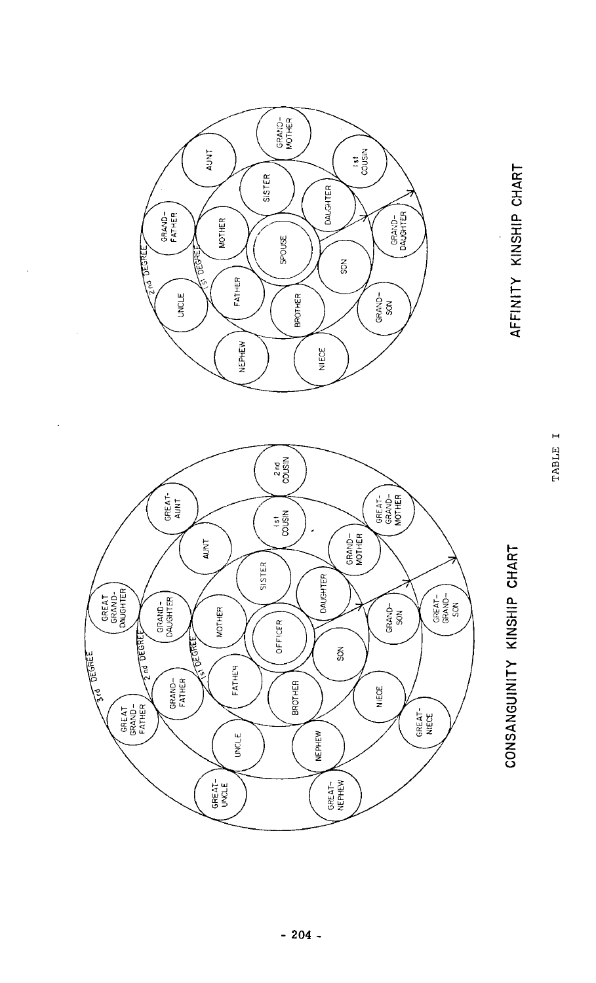

 $\ddot{\phantom{a}}$ 

 $\ddot{\phantom{a}}$ 



AFFINITY KINSHIP CHART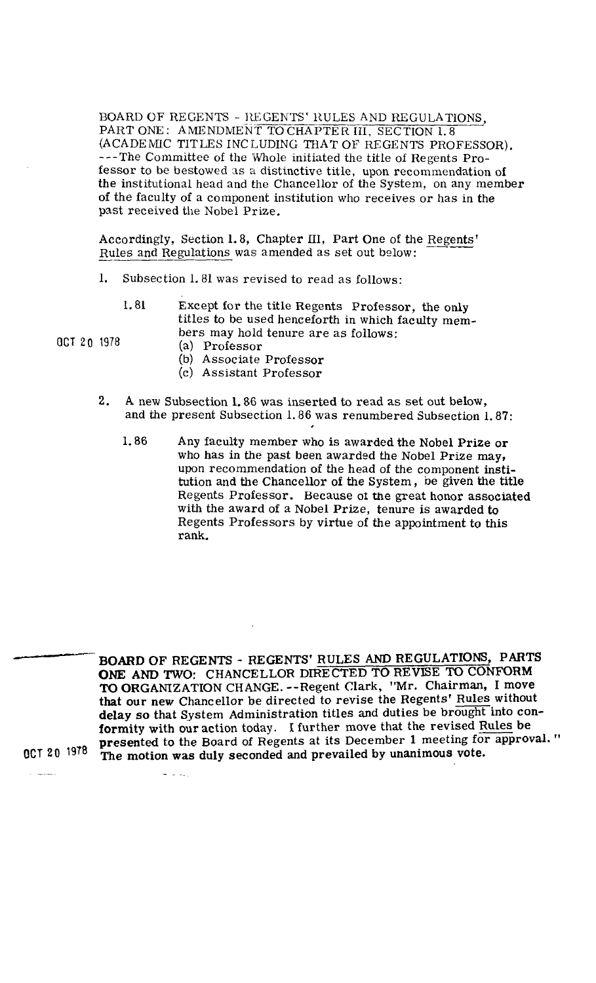BOARD OF REGENTS - REGENTS' RULES AND REGULATIONS, PART ONE: AMENDMENT TO CHAPTER III, SECTION 1.8 (ACADEMIC TITLES INCLUDING THAT OF REGENTS PROFESSOR). ---The Committee of the Whole initiated the title of Regents Professor to be bestowed as a distinctive title, upon recommendation of the institutional head and the Chancellor of the System, on any member of the faculty of a component institution who receives or has in the past received the Nobel Prize.<br>Accordingly, Section 1.8, Chapter III, Part One of the Regents' Rules and Regulations was amended as set out below: past received the Nobel Prize.

Rules and Regulations was amended as set out below:

- 1. Subsection 1.81 was revised to read as follows:
	- 1.81 Except for the title Regents Professor, the only titles to be used henceforth in which faculty members may hold tenure are as follows:

OCT **20** 1978 (a) Professor

- 
- (b) Associate Professor
- (c) Assistant Professor
- **2.** A new Subsection 1.86 was inserted to read as set out below, and the present Subsection 1.86 was renumbered Subsection 1.87:
	- 1.86 Any faculty member who is awarded the Nobel Prize or who has in the past been awarded the Nobel Prize may, upon recommendation of the head of the component institution and the Chancellor of the System, be given the title Regents Professor. Because 01 the great honor associated with the award of a Nobel Prize, tenure is awarded to Regents Professors by virtue of the appointment to this rank.

BOARD OF REGENTS - REGENTS' RULES AND REGULATIONS, PARTS **ONE** AND TWO: CHANCELLOR DIRECTED TO REVISE TO CONFORM TO ORGANZATION CHANGE. --Regent Clark, "Mr. Chairman, I move that our new Chancellor be directed to revise the Regents' Rules without delay so that System Administration titles and duties be brought into conformity with our action today. I further move that the revised Rules be presented to the Board of Regents at its December 1 meeting for approval. " OCT **20** The motion was duly seconded and prevailed by unanimous vote.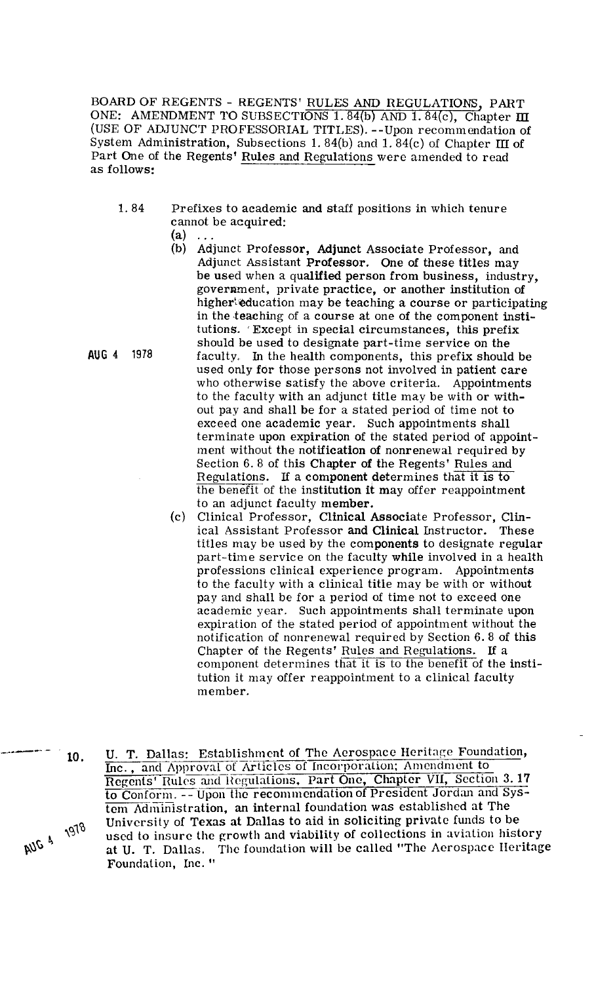BOARD OF REGENTS - REGENTS' RULES AND REGULATIONS, PART ONE: AMENDMENT TO SUBSECTIONS 1.84(b) AND 1.84(c), Chapter III (USE OF ADJUNCT PROFESSORIAL TITLES). --Upon recommendation of System Administration, Subsections 1.84(b) and 1.84(c) of Chapter III of Part One of the Regents (USE OF ADJUNCT PROFESSORIAL TITLES). --Upon recommendation of System Administration, Subsections 1.84(b) and 1.84(c) of Chapter III of Part One of the Regents' Rules and Regulations were amended to read as follows:

- 1.84 Prefixes to academic and staff positions in which tenure cannot be a**c**quired:<br>(a) ...
	-
- (b) Adjunct Professor, Adjunct Associate Professor, and Adjunct Assistant Professor. One of these titles may be used when a qualified person from business, industry, government, private practice, or another institution of higherteducation may be teaching a course or participating in the teaching of a course at one of the component institutions. Except in special circumstances, this prefix should be used to designate part-time service on the **AUG** 4 1978 faculty. In the health components, this prefix should be used only for those persons not involved in patient care who otherwise satisfy the above criteria. Appointments to the faculty with an adjunct title may be with or without pay and shall be for a stated period of time not to exceed one academic year. Such appointments shall terminate upon expiration of the stated period of appointment without the notification of nonrenewal required by Section 6. 8 of this Chapter of the Regents' Rules and Regulations. If a component determines that it is to the benefit of the institution it may offer reappointment to an adjunct faculty member.
	- (c) Clinical Professor, Clinical Associate Professor, Clinical Assistant Professor and Clinical Instructor. These titles may be used by the components to designate regular part-time service on the faculty while involved in a health professions clinical experience program. Appointments to the faculty with a clinical title may be with or without pay and shall be for a period of time not to exceed one academic year. Such appointments shall terminate upon expiration of the stated period of appointment without the notification of nonrenewal required by Section 6. 8 of this Chapter of the Regents' Rules and Regulations. If a component determines that it is to the benefit of the institution it may offer reappointment to a clinical faculty member.
- U. T. Dallas: Establishment of The Aerospace Heritage Foundation, 10. Inc., and Approval of Articles of Incorporation; Amendment to Regents' Rules and Regulations, Part One, Chapter VII, Section 3.17 to Conform. -- Upon the recommendation of President Jordan and System Administration, an internal foundation was established at The AUG 4 1978 University of Texas at Dallas to aid in soliciting private funds to be used to insure the growth and viability of collections in aviation history at U. T. Dallas. The foundation will be called "The Aerospace IIeritage Foundation, Inc. "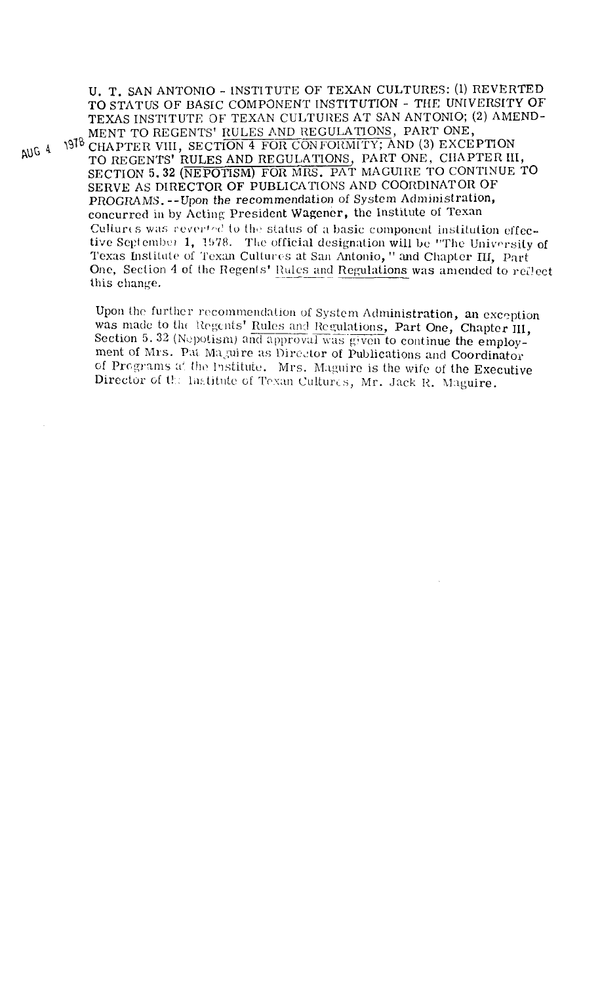U. T. SAN ANTONIO - INSTITUTE OF TEXAN CULTURES: (1) REVERTED TO STATUS OF BASIC COMPONENT INSTITUTION - THE UNIVERSITY OF TEXAS INSTITUTE OF TEXAN CULTURES AT SAN ANTONIO; (2) AMEND-MENT TO REGENTS' RULES AND REGULATIONS, PART ONE, 1978 CHAPTER VIII, SECTION 4 FOR CONFORMITY; AND (3) EXCEPTION AUG 4 TO REGENTS' RULES AND REGULATIONS, PART ONE, CHAPTER III, SECTION 5.32 (NEPOTISM) FOR MRS. PAT MAGUIRE TO CONTINUE TO SERVE AS DIRECTOR OF PUBLICATIONS AND COORDINATOR OF PROGRAMS. -- Upon the recommendation of System Administration, concurred in by Acting President Wagener, the Institute of Texan Cultures was reverted to the status of a basic component institution effective September 1, 1978. The official designation will be "The University of Texas Institute of Texan Cultures at San Antonio," and Chapter III, Part One, Section 4 of the Regents' Rules and Regulations was amended to reflect this change.

> Upon the further recommendation of System Administration, an exception was made to the Regents' Rules and Regulations, Part One, Chapter III, Section 5.32 (Nepotism) and approval was given to continue the employment of Mrs. Pat Maguire as Director of Publications and Coordinator of Programs at the Institute. Mrs. Maguire is the wife of the Executive Director of the Institute of Texan Cultures, Mr. Jack R. Maguire.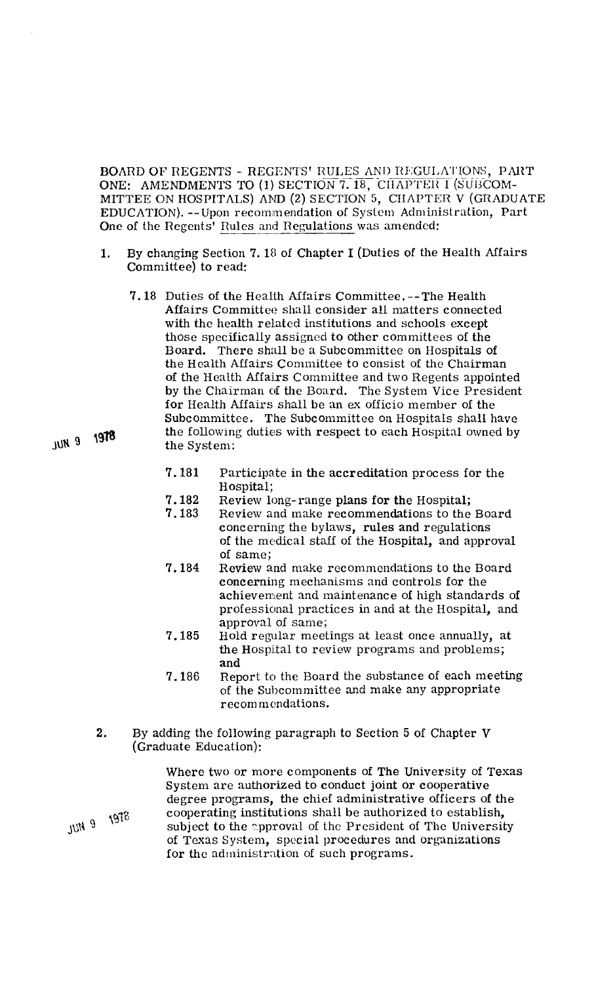BOARD OF REGENTS - REGENTS' RULES AND REGULATIONS, PART ONE: AMENDMENTS TO (1) SECTION 7. 18, CHAPTER I (SUBCOM-<br>MITTEE ON HOSPITALS) AND (2) SECTION 5, CHAPTER V (GRADUATI<br>EDUCATION). --Upon recommendation of System Administration, Part<br>One of the Regents' <u>Rules and Regulatio</u> MITTEE ON HOSPITALS) **AND** (2) SECTION 5, CHAPTER V (GRADUATE EDUCATION). --Upon recommendation of System Administration, Part

- 1. By changing Section 7. 18 of Chapter I (Duties of the Health Affairs Committee) to read:
	- 7.18 Duties of the Health Affairs Committee. --The Health Affairs Committee shall consider all matters connected with the health related institutions and schools except those specifically assigned to other committees of the Board. There shall be a Subcommittee on Hospitals of the Health Affairs Committee to consist of the Chairman of the Health Affairs Committee and two Regents appointed by the Chairman of the Board. The System Vice President for Health Affairs shall be an ex officio member of the Subcommittee. The Subcommittee on Hospitals shall have the following duties with respect to each Hospital owned by the System:
		- 7.181 Participate in the accreditation process for the Hospital;
		- 7.182 Review long-range plans for the Hospital;<br>7.183 Review and make recommendations to the
		- Review and make recommendations to the Board concerning the bylaws, rules and regulations of the medical staff of the Hospital, and approval of same;
		- 7.184 Review and make recommendations to the Board concerning mechanisms and controls for the achievement and maintenance of high standards of professional practices in and at the Hospital, and approval of same;
		- 7.185 Hold regular meetings at least once annually, at the Hospital to review programs and problems; and
		- 7.186 Report to the Board the substance of each meeting of the Subcommittee and make any appropriate recom mcndations.
- **2.** By adding the following paragraph to Section 5 of Chapter V (Graduate Education):

Where two or more components of The University of Texas System are authorized to conduct joint or cooperative degree programs, the chief administrative officers of the 9 1978 cooperating institutions shall be authorized to establish,<br>subject to the annoual of the President of  $\ddot{m}$ subject to the approval of the President of The University of Texas System, special procedures and organizations for the administration of such programs.

**JUN 9 'gT8**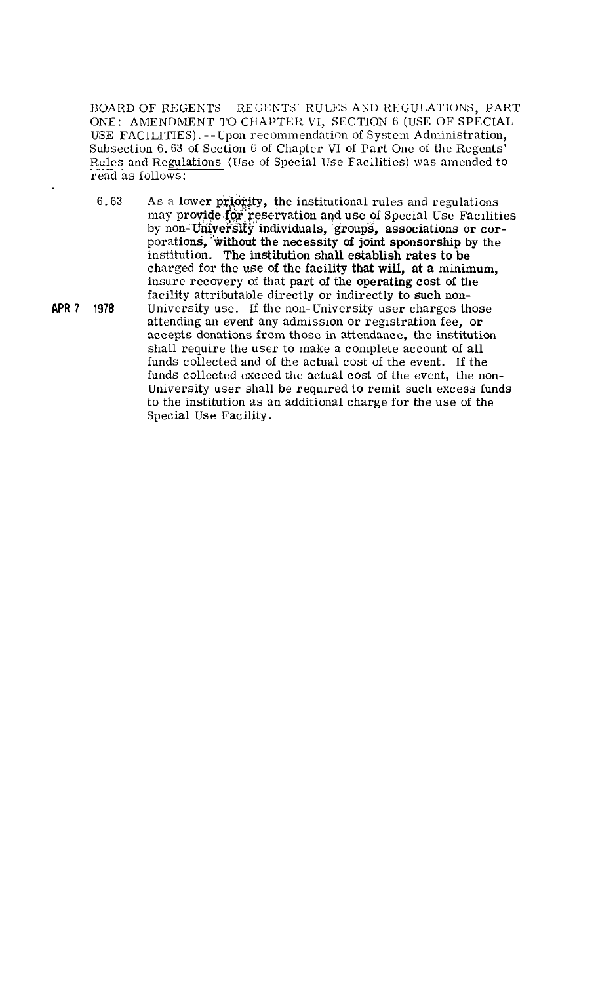BOARD OF REGENTS - REGENTS' RULES AND REGULATIONS, PART ONE: AMENDMENT TO CHAPTER VI, SECTION 6 (USE OF SPECIAL USE FACILITIES). -- Upon recommendation of System Administration, Subsection 6.63 of Section 6 of Chapter VI of Part One of the Regents' Rules and Regulations (Use of Special Use Facilities) was amended to read as follows:

- $6.63$  As a lower priority, the institutional rules and regulations may provide for reservation and use of Special Use Facilities by non-University individuals, groups, associations or corporations, "without the necessity of joint sponsorship **by** the institution. The institution shall establish rates to be charged for the use of the facility that will, at a minimum, insure recovery of that part **of** the operating cost of the facility attributable directly or indirectly to such non-
- **APR** 7 1978 University use. If the non-University user charges those attending an event any admission or registration fee, or accepts donations from those in attendance, the institution shall require the user to make a complete account of all funds collected and of the actual cost of the event. If the funds collected exceed the actual cost of the event, the non-University user shall be required to remit such excess funds to the institution as an additional charge for the use of the Special Use Facility.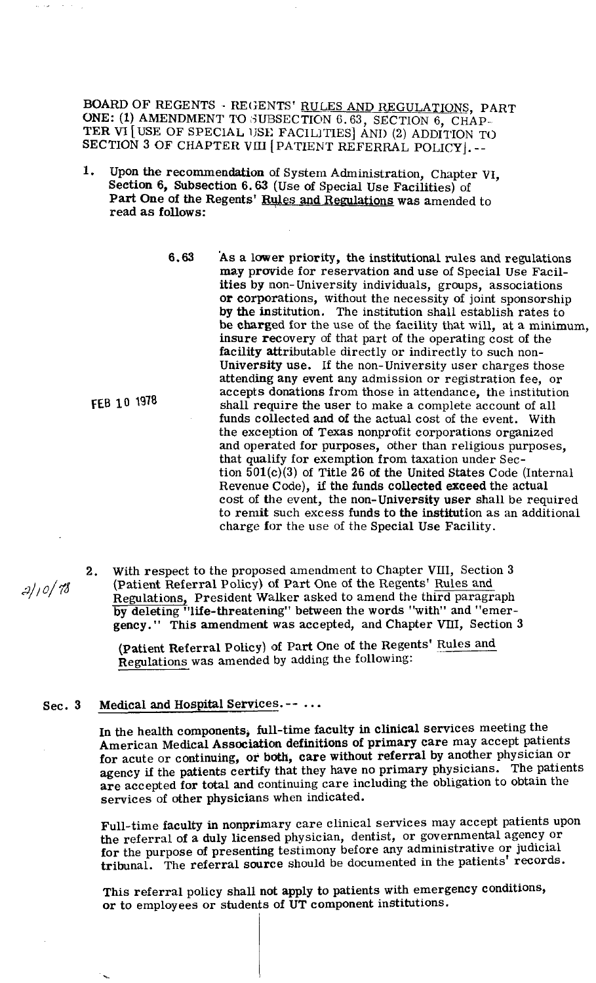BOARD OF REGENTS - REGENTS' RULES AND REGULATIONS, PART ONE: (1) AMENDMENT TO SUBSECTION 6.63, SECTION 6, CHAP-TER VI [USE OF SPECIAL **1JSE:** FACILITIES] AND (2) ADDITION TO SECTION 3 OF CHAPTER VIII [PATIENT REFERRAL POLICY]. --

I. Upon the recommendation of System Administration, Chapter VI, Section **6,** Subsection 6.63 (Use of Special Use Facilities) of Part One of the Regents' Rules and Regulations was amended to read as follows:

FEB 10 1978

may provide for reservation and use of Special Use Facilities by non- University individuals, groups, associations or corporations, without the necessity of joint sponsorship by the institution. The institution shall establish rates to be charged for the use of the facility that will, at a minimum, insure recovery of that part of the operating cost of the facility attributable directly or indirectly to such non-University use. If the non-University user charges those attending any event any admission or registration fee, or accepts donations from those in attendance, the institution shall require the user to make a complete account of all funds collected and of the actual cost of the event. With the exception of Texas nonprofit corporations organized and operated for purposes, other than religious purposes, that qualify for exemption from taxation under Section 501(c)(3) of Title 26 of the United States Code (Internal Revenue Code), if the funds collected exceed the actual cost of the event, the non-University user shall be required to remit such excess funds to the institution as an additional charge for the use of the Special Use Facility.

**6.63** AS a lower priority, the institutional rules and regulations

**2.** With respect to the proposed amendment to Chapter VIII, Section **3 21,** O/ 78 (patient Referral Policy) of Part One of the Regents' Rules and Regulations, President Walker asked to amend the third paragraph by deleting "life-threatening" between the words "with" and "emergency." This amendment was accepted, and Chapter VIII, Section 3

> (Patient Referral Policy) of Part One of the Regents' Rules and Regulations was amended by adding the following:

## Sec. 3 Medical and Hospital Services. -- ...

In the health components, full-time faculty in clinical services meeting the American Medical Association definitions of primary care may accept patients for acute or continuing, or both, care without referral by another physician or agency if the patients certify that they have no primary physicians. The patients are accepted for total and continuing care including the obligation to obtain the services of other physicians when indicated.

Full-time faculty in nonprimary care clinical services may accept patients upon the referral of a duly licensed physician, dentist, or governmental agency or for the purpose of presenting testimony before any administrative or judicial tribunal. The referral source should be documented in the patients' records.

This referral policy shall not apply to patients with emergency conditions, or to employees or students of UT component institutions.

I